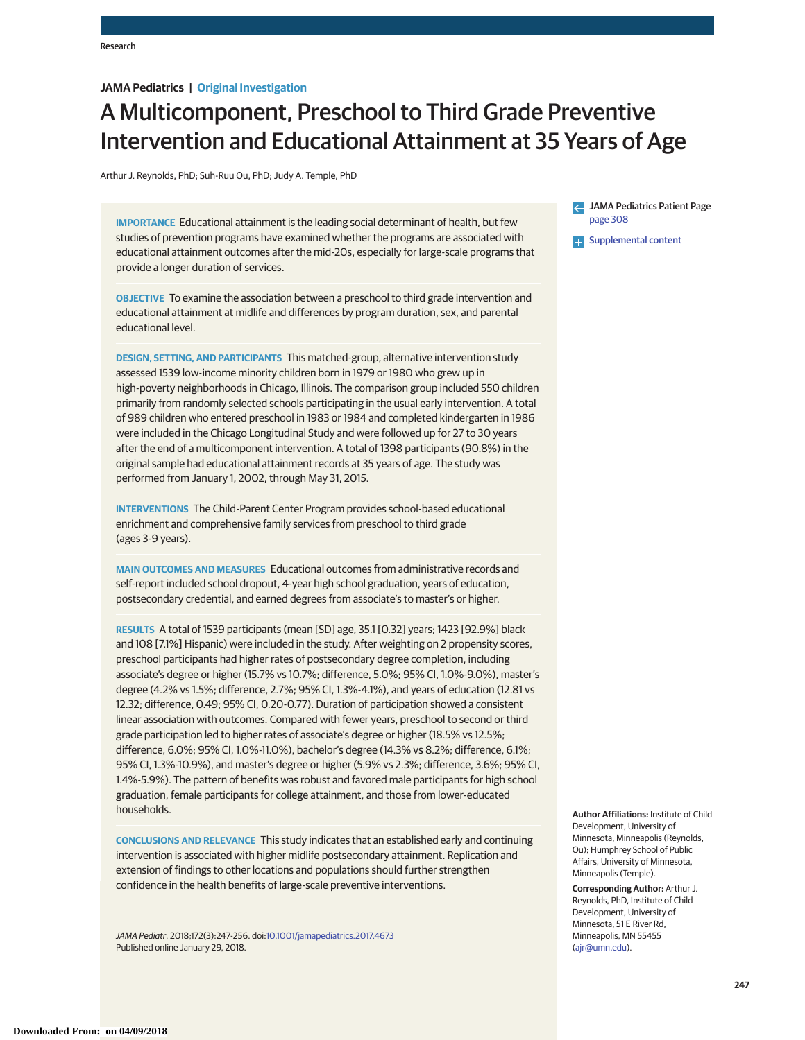# **JAMA Pediatrics | Original Investigation**

# A Multicomponent, Preschool to Third Grade Preventive Intervention and Educational Attainment at 35 Years of Age

Arthur J. Reynolds, PhD; Suh-Ruu Ou, PhD; Judy A. Temple, PhD

**IMPORTANCE** Educational attainment is the leading social determinant of health, but few studies of prevention programs have examined whether the programs are associated with educational attainment outcomes after the mid-20s, especially for large-scale programs that provide a longer duration of services.

**OBJECTIVE** To examine the association between a preschool to third grade intervention and educational attainment at midlife and differences by program duration, sex, and parental educational level.

**DESIGN, SETTING, AND PARTICIPANTS** This matched-group, alternative intervention study assessed 1539 low-income minority children born in 1979 or 1980 who grew up in high-poverty neighborhoods in Chicago, Illinois. The comparison group included 550 children primarily from randomly selected schools participating in the usual early intervention. A total of 989 children who entered preschool in 1983 or 1984 and completed kindergarten in 1986 were included in the Chicago Longitudinal Study and were followed up for 27 to 30 years after the end of a multicomponent intervention. A total of 1398 participants (90.8%) in the original sample had educational attainment records at 35 years of age. The study was performed from January 1, 2002, through May 31, 2015.

**INTERVENTIONS** The Child-Parent Center Program provides school-based educational enrichment and comprehensive family services from preschool to third grade (ages 3-9 years).

**MAIN OUTCOMES AND MEASURES** Educational outcomes from administrative records and self-report included school dropout, 4-year high school graduation, years of education, postsecondary credential, and earned degrees from associate's to master's or higher.

**RESULTS** A total of 1539 participants (mean [SD] age, 35.1 [0.32] years; 1423 [92.9%] black and 108 [7.1%] Hispanic) were included in the study. After weighting on 2 propensity scores, preschool participants had higher rates of postsecondary degree completion, including associate's degree or higher (15.7% vs 10.7%; difference, 5.0%; 95% CI, 1.0%-9.0%), master's degree (4.2% vs 1.5%; difference, 2.7%; 95% CI, 1.3%-4.1%), and years of education (12.81 vs 12.32; difference, 0.49; 95% CI, 0.20-0.77). Duration of participation showed a consistent linear association with outcomes. Compared with fewer years, preschool to second or third grade participation led to higher rates of associate's degree or higher (18.5% vs 12.5%; difference, 6.0%; 95% CI, 1.0%-11.0%), bachelor's degree (14.3% vs 8.2%; difference, 6.1%; 95% CI, 1.3%-10.9%), and master's degree or higher (5.9% vs 2.3%; difference, 3.6%; 95% CI, 1.4%-5.9%). The pattern of benefits was robust and favored male participants for high school graduation, female participants for college attainment, and those from lower-educated households.

**CONCLUSIONS AND RELEVANCE** This study indicates that an established early and continuing intervention is associated with higher midlife postsecondary attainment. Replication and extension of findings to other locations and populations should further strengthen confidence in the health benefits of large-scale preventive interventions.

JAMA Pediatr. 2018;172(3):247-256. doi[:10.1001/jamapediatrics.2017.4673](http://jama.jamanetwork.com/article.aspx?doi=10.1001/jamapediatrics.2017.4673&utm_campaign=articlePDF%26utm_medium=articlePDFlink%26utm_source=articlePDF%26utm_content=jamapediatrics.2017.4673) Published online January 29, 2018.

JAMA Pediatrics Patient Page [page 308](http://jama.jamanetwork.com/article.aspx?doi=10.1001/jamapediatrics.2017.5277&utm_campaign=articlePDF%26utm_medium=articlePDFlink%26utm_source=articlePDF%26utm_content=jamapediatrics.2017.4673)

**[Supplemental content](http://jama.jamanetwork.com/article.aspx?doi=10.1001/jamapediatrics.2017.4673&utm_campaign=articlePDF%26utm_medium=articlePDFlink%26utm_source=articlePDF%26utm_content=jamapediatrics.2017.4673)** 

**Author Affiliations:** Institute of Child Development, University of Minnesota, Minneapolis (Reynolds, Ou); Humphrey School of Public Affairs, University of Minnesota, Minneapolis (Temple).

**Corresponding Author:** Arthur J. Reynolds, PhD, Institute of Child Development, University of Minnesota, 51 E River Rd, Minneapolis, MN 55455 [\(ajr@umn.edu\)](mailto:ajr@umn.edu).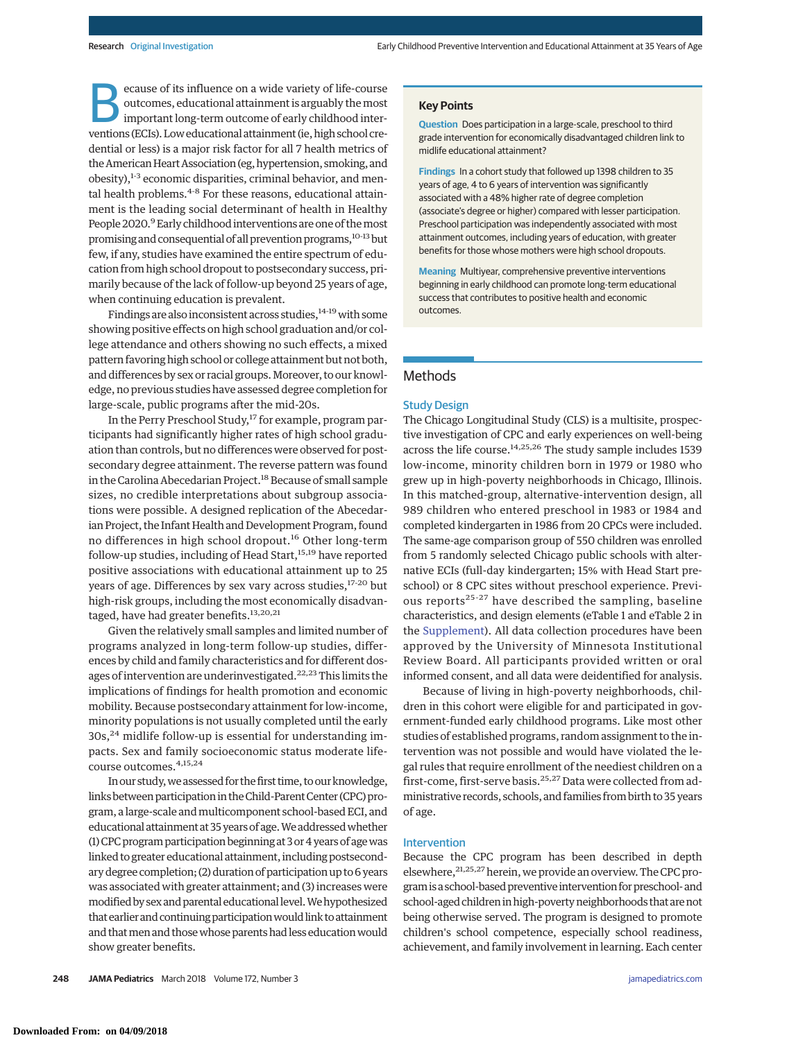ecause of its influence on a wide variety of life-course outcomes, educational attainment is arguably themost important long-term outcome of early childhood interventions (ECIs). Low educational attainment (ie, high school credential or less) is a major risk factor for all 7 health metrics of the American Heart Association (eg, hypertension, smoking, and obesity),<sup>1-3</sup> economic disparities, criminal behavior, and mental health problems.<sup>4-8</sup> For these reasons, educational attainment is the leading social determinant of health in Healthy People 2020.<sup>9</sup> Early childhood interventions are one of the most promising and consequential of all prevention programs,<sup>10-13</sup> but few, if any, studies have examined the entire spectrum of education from high school dropout to postsecondary success, primarily because of the lack of follow-up beyond 25 years of age, when continuing education is prevalent.

Findings are also inconsistent across studies,  $14-19$  with some showing positive effects on high school graduation and/or college attendance and others showing no such effects, a mixed pattern favoring high school or college attainment but not both, and differences by sex or racial groups.Moreover, to our knowledge, no previous studies have assessed degree completion for large-scale, public programs after the mid-20s.

In the Perry Preschool Study,<sup>17</sup> for example, program participants had significantly higher rates of high school graduation than controls, but no differences were observed for postsecondary degree attainment. The reverse pattern was found in the Carolina Abecedarian Project.<sup>18</sup> Because of small sample sizes, no credible interpretations about subgroup associations were possible. A designed replication of the Abecedarian Project, the Infant Health and Development Program, found no differences in high school dropout.<sup>16</sup> Other long-term follow-up studies, including of Head Start,<sup>15,19</sup> have reported positive associations with educational attainment up to 25 years of age. Differences by sex vary across studies,<sup>17-20</sup> but high-risk groups, including the most economically disadvantaged, have had greater benefits.<sup>13,20,21</sup>

Given the relatively small samples and limited number of programs analyzed in long-term follow-up studies, differences by child and family characteristics and for different dosages of intervention are underinvestigated.<sup>22,23</sup> This limits the implications of findings for health promotion and economic mobility. Because postsecondary attainment for low-income, minority populations is not usually completed until the early 30s,<sup>24</sup> midlife follow-up is essential for understanding impacts. Sex and family socioeconomic status moderate lifecourse outcomes.4,15,24

In our study,we assessed for the first time, to our knowledge, links between participation in the Child-Parent Center (CPC) program, a large-scale and multicomponent school-based ECI, and educational attainment at 35 years of age. We addressed whether (1)CPC program participation beginning at 3 or 4 years of agewas linked to greater educational attainment, including postsecondary degree completion; (2) duration of participation up to 6 years was associated with greater attainment; and (3) increases were modified by sex and parental educational level. We hypothesized that earlier and continuing participation would link to attainment and that men and those whose parents had less education would show greater benefits.

#### **Key Points**

**Question** Does participation in a large-scale, preschool to third grade intervention for economically disadvantaged children link to midlife educational attainment?

**Findings** In a cohort study that followed up 1398 children to 35 years of age, 4 to 6 years of intervention was significantly associated with a 48% higher rate of degree completion (associate's degree or higher) compared with lesser participation. Preschool participation was independently associated with most attainment outcomes, including years of education, with greater benefits for those whose mothers were high school dropouts.

**Meaning** Multiyear, comprehensive preventive interventions beginning in early childhood can promote long-term educational success that contributes to positive health and economic outcomes.

# Methods

## Study Design

The Chicago Longitudinal Study (CLS) is a multisite, prospective investigation of CPC and early experiences on well-being across the life course.<sup>14,25,26</sup> The study sample includes 1539 low-income, minority children born in 1979 or 1980 who grew up in high-poverty neighborhoods in Chicago, Illinois. In this matched-group, alternative-intervention design, all 989 children who entered preschool in 1983 or 1984 and completed kindergarten in 1986 from 20 CPCs were included. The same-age comparison group of 550 children was enrolled from 5 randomly selected Chicago public schools with alternative ECIs (full-day kindergarten; 15% with Head Start preschool) or 8 CPC sites without preschool experience. Previous reports<sup>25-27</sup> have described the sampling, baseline characteristics, and design elements (eTable 1 and eTable 2 in the [Supplement\)](http://jama.jamanetwork.com/article.aspx?doi=10.1001/jamapediatrics.2017.4673&utm_campaign=articlePDF%26utm_medium=articlePDFlink%26utm_source=articlePDF%26utm_content=jamapediatrics.2017.4673). All data collection procedures have been approved by the University of Minnesota Institutional Review Board. All participants provided written or oral informed consent, and all data were deidentified for analysis.

Because of living in high-poverty neighborhoods, children in this cohort were eligible for and participated in government-funded early childhood programs. Like most other studies of established programs, random assignment to the intervention was not possible and would have violated the legal rules that require enrollment of the neediest children on a first-come, first-serve basis.<sup>25,27</sup> Data were collected from administrative records, schools, and families from birth to 35 years of age.

## Intervention

Because the CPC program has been described in depth elsewhere, <sup>21,25,27</sup> herein, we provide an overview. The CPC program is a school-based preventive intervention for preschool- and school-aged children in high-poverty neighborhoods that are not being otherwise served. The program is designed to promote children's school competence, especially school readiness, achievement, and family involvement in learning. Each center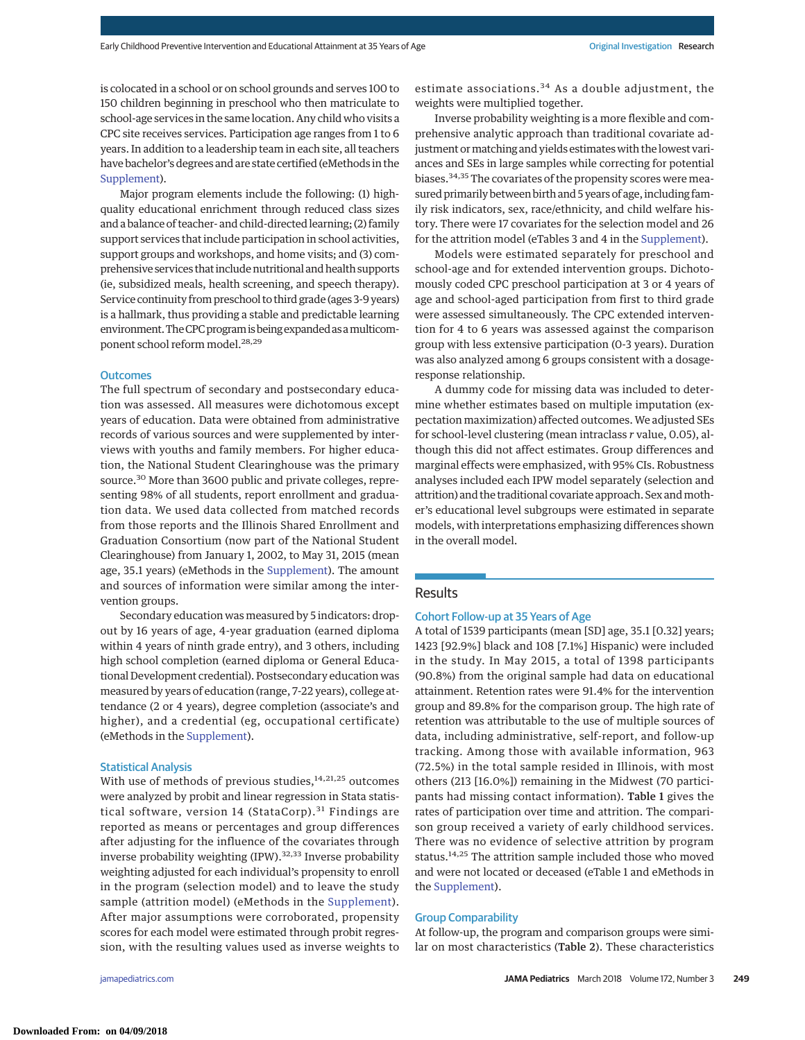is colocated in a school or on school grounds and serves 100 to 150 children beginning in preschool who then matriculate to school-age services in the same location. Any child who visits a CPC site receives services. Participation age ranges from 1 to 6 years. In addition to a leadership team in each site, all teachers have bachelor's degrees and are state certified (eMethods in the [Supplement\)](http://jama.jamanetwork.com/article.aspx?doi=10.1001/jamapediatrics.2017.4673&utm_campaign=articlePDF%26utm_medium=articlePDFlink%26utm_source=articlePDF%26utm_content=jamapediatrics.2017.4673).

Major program elements include the following: (1) highquality educational enrichment through reduced class sizes and a balance of teacher- and child-directed learning; (2) family support services that include participation in school activities, support groups and workshops, and home visits; and (3) comprehensive services that include nutritional and health supports (ie, subsidized meals, health screening, and speech therapy). Service continuity from preschool to third grade (ages 3-9 years) is a hallmark, thus providing a stable and predictable learning environment. The CPC program is being expanded as a multicomponent school reform model.<sup>28,29</sup>

## **Outcomes**

The full spectrum of secondary and postsecondary education was assessed. All measures were dichotomous except years of education. Data were obtained from administrative records of various sources and were supplemented by interviews with youths and family members. For higher education, the National Student Clearinghouse was the primary source.<sup>30</sup> More than 3600 public and private colleges, representing 98% of all students, report enrollment and graduation data. We used data collected from matched records from those reports and the Illinois Shared Enrollment and Graduation Consortium (now part of the National Student Clearinghouse) from January 1, 2002, to May 31, 2015 (mean age, 35.1 years) (eMethods in the [Supplement\)](http://jama.jamanetwork.com/article.aspx?doi=10.1001/jamapediatrics.2017.4673&utm_campaign=articlePDF%26utm_medium=articlePDFlink%26utm_source=articlePDF%26utm_content=jamapediatrics.2017.4673). The amount and sources of information were similar among the intervention groups.

Secondary education was measured by 5 indicators: dropout by 16 years of age, 4-year graduation (earned diploma within 4 years of ninth grade entry), and 3 others, including high school completion (earned diploma or General Educational Development credential). Postsecondary education was measured by years of education (range, 7-22 years), college attendance (2 or 4 years), degree completion (associate's and higher), and a credential (eg, occupational certificate) (eMethods in the [Supplement\)](http://jama.jamanetwork.com/article.aspx?doi=10.1001/jamapediatrics.2017.4673&utm_campaign=articlePDF%26utm_medium=articlePDFlink%26utm_source=articlePDF%26utm_content=jamapediatrics.2017.4673).

## Statistical Analysis

With use of methods of previous studies, $14,21,25$  outcomes were analyzed by probit and linear regression in Stata statistical software, version 14 (StataCorp).<sup>31</sup> Findings are reported as means or percentages and group differences after adjusting for the influence of the covariates through inverse probability weighting  $(IPW)$ .<sup>32,33</sup> Inverse probability weighting adjusted for each individual's propensity to enroll in the program (selection model) and to leave the study sample (attrition model) (eMethods in the [Supplement\)](http://jama.jamanetwork.com/article.aspx?doi=10.1001/jamapediatrics.2017.4673&utm_campaign=articlePDF%26utm_medium=articlePDFlink%26utm_source=articlePDF%26utm_content=jamapediatrics.2017.4673). After major assumptions were corroborated, propensity scores for each model were estimated through probit regression, with the resulting values used as inverse weights to

estimate associations.<sup>34</sup> As a double adjustment, the weights were multiplied together.

Inverse probability weighting is a more flexible and comprehensive analytic approach than traditional covariate adjustment or matching and yields estimates with the lowest variances and SEs in large samples while correcting for potential biases.<sup>34,35</sup> The covariates of the propensity scores were measured primarily between birth and 5 years of age, including family risk indicators, sex, race/ethnicity, and child welfare history. There were 17 covariates for the selection model and 26 for the attrition model (eTables 3 and 4 in the [Supplement\)](http://jama.jamanetwork.com/article.aspx?doi=10.1001/jamapediatrics.2017.4673&utm_campaign=articlePDF%26utm_medium=articlePDFlink%26utm_source=articlePDF%26utm_content=jamapediatrics.2017.4673).

Models were estimated separately for preschool and school-age and for extended intervention groups. Dichotomously coded CPC preschool participation at 3 or 4 years of age and school-aged participation from first to third grade were assessed simultaneously. The CPC extended intervention for 4 to 6 years was assessed against the comparison group with less extensive participation (0-3 years). Duration was also analyzed among 6 groups consistent with a dosageresponse relationship.

A dummy code for missing data was included to determine whether estimates based on multiple imputation (expectation maximization) affected outcomes. We adjusted SEs for school-level clustering (mean intraclass *r* value, 0.05), although this did not affect estimates. Group differences and marginal effects were emphasized, with 95% CIs. Robustness analyses included each IPW model separately (selection and attrition) and the traditional covariate approach. Sex and mother's educational level subgroups were estimated in separate models, with interpretations emphasizing differences shown in the overall model.

# **Results**

#### Cohort Follow-up at 35 Years of Age

A total of 1539 participants (mean [SD] age, 35.1 [0.32] years; 1423 [92.9%] black and 108 [7.1%] Hispanic) were included in the study. In May 2015, a total of 1398 participants (90.8%) from the original sample had data on educational attainment. Retention rates were 91.4% for the intervention group and 89.8% for the comparison group. The high rate of retention was attributable to the use of multiple sources of data, including administrative, self-report, and follow-up tracking. Among those with available information, 963 (72.5%) in the total sample resided in Illinois, with most others (213 [16.0%]) remaining in the Midwest (70 participants had missing contact information). Table 1 gives the rates of participation over time and attrition. The comparison group received a variety of early childhood services. There was no evidence of selective attrition by program status.<sup>14,25</sup> The attrition sample included those who moved and were not located or deceased (eTable 1 and eMethods in the [Supplement\)](http://jama.jamanetwork.com/article.aspx?doi=10.1001/jamapediatrics.2017.4673&utm_campaign=articlePDF%26utm_medium=articlePDFlink%26utm_source=articlePDF%26utm_content=jamapediatrics.2017.4673).

### Group Comparability

At follow-up, the program and comparison groups were similar on most characteristics (Table 2). These characteristics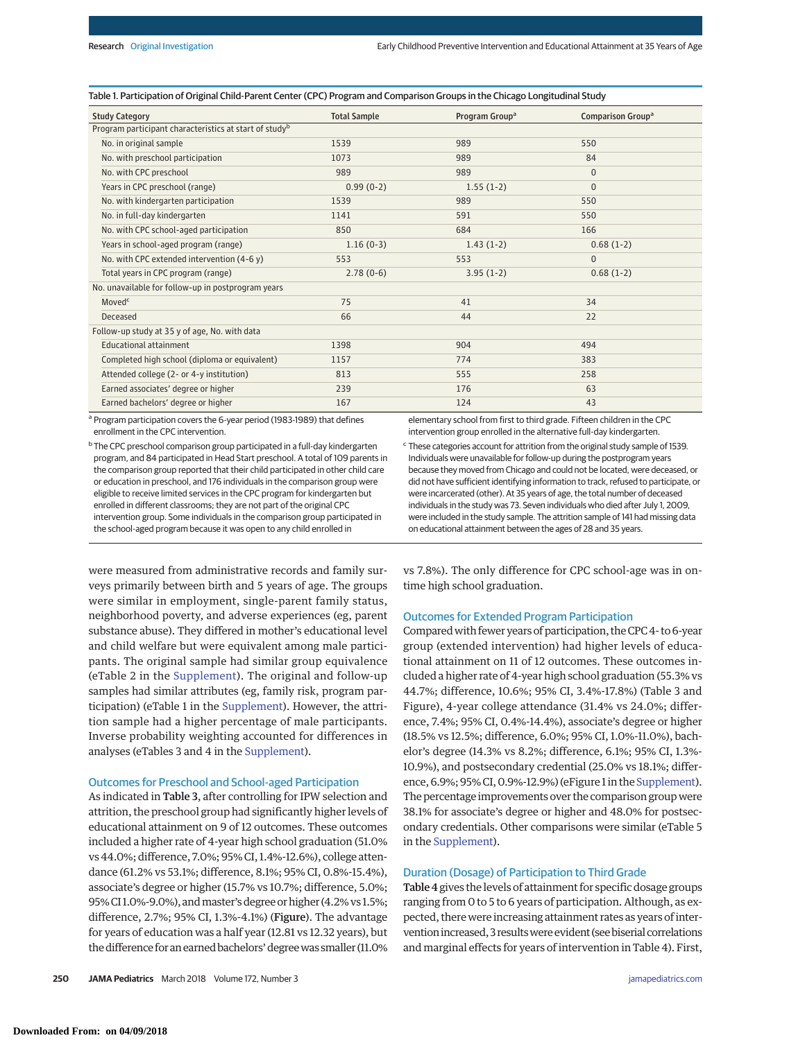## Table 1. Participation of Original Child-Parent Center (CPC) Program and Comparison Groups in the Chicago Longitudinal Study

| <b>Study Category</b>                                              | <b>Total Sample</b> | Program Group <sup>a</sup> | Comparison Group <sup>a</sup> |
|--------------------------------------------------------------------|---------------------|----------------------------|-------------------------------|
| Program participant characteristics at start of study <sup>b</sup> |                     |                            |                               |
| No. in original sample                                             | 1539                | 989                        | 550                           |
| No. with preschool participation                                   | 1073                | 989                        | 84                            |
| No. with CPC preschool                                             | 989                 | 989                        | $\Omega$                      |
| Years in CPC preschool (range)                                     | $0.99(0-2)$         | $1.55(1-2)$                | $\overline{0}$                |
| No. with kindergarten participation                                | 1539                | 989                        | 550                           |
| No. in full-day kindergarten                                       | 1141                | 591                        | 550                           |
| No. with CPC school-aged participation                             | 850                 | 684                        | 166                           |
| Years in school-aged program (range)                               | $1.16(0-3)$         | $1.43(1-2)$                | $0.68(1-2)$                   |
| No. with CPC extended intervention $(4-6y)$                        | 553                 | 553                        | $\overline{0}$                |
| Total years in CPC program (range)                                 | $2.78(0-6)$         | $3.95(1-2)$                | $0.68(1-2)$                   |
| No. unavailable for follow-up in postprogram years                 |                     |                            |                               |
| Moved <sup>c</sup>                                                 | 75                  | 41                         | 34                            |
| Deceased                                                           | 66                  | 44                         | 22                            |
| Follow-up study at 35 y of age, No. with data                      |                     |                            |                               |
| Educational attainment                                             | 1398                | 904                        | 494                           |
| Completed high school (diploma or equivalent)                      | 1157                | 774                        | 383                           |
| Attended college (2- or 4-y institution)                           | 813                 | 555                        | 258                           |
| Earned associates' degree or higher                                | 239                 | 176                        | 63                            |
| Earned bachelors' degree or higher                                 | 167                 | 124                        | 43                            |

<sup>a</sup> Program participation covers the 6-year period (1983-1989) that defines enrollment in the CPC intervention.

<sup>b</sup> The CPC preschool comparison group participated in a full-day kindergarten program, and 84 participated in Head Start preschool. A total of 109 parents in the comparison group reported that their child participated in other child care or education in preschool, and 176 individuals in the comparison group were eligible to receive limited services in the CPC program for kindergarten but enrolled in different classrooms; they are not part of the original CPC intervention group. Some individuals in the comparison group participated in the school-aged program because it was open to any child enrolled in

elementary school from first to third grade. Fifteen children in the CPC intervention group enrolled in the alternative full-day kindergarten.

<sup>c</sup> These categories account for attrition from the original study sample of 1539. Individuals were unavailable for follow-up during the postprogram years because they moved from Chicago and could not be located, were deceased, or did not have sufficient identifying information to track, refused to participate, or were incarcerated (other). At 35 years of age, the total number of deceased individuals in the study was 73. Seven individuals who died after July 1, 2009, were included in the study sample. The attrition sample of 141 had missing data on educational attainment between the ages of 28 and 35 years.

were measured from administrative records and family surveys primarily between birth and 5 years of age. The groups were similar in employment, single-parent family status, neighborhood poverty, and adverse experiences (eg, parent substance abuse). They differed in mother's educational level and child welfare but were equivalent among male participants. The original sample had similar group equivalence (eTable 2 in the [Supplement\)](http://jama.jamanetwork.com/article.aspx?doi=10.1001/jamapediatrics.2017.4673&utm_campaign=articlePDF%26utm_medium=articlePDFlink%26utm_source=articlePDF%26utm_content=jamapediatrics.2017.4673). The original and follow-up samples had similar attributes (eg, family risk, program participation) (eTable 1 in the [Supplement\)](http://jama.jamanetwork.com/article.aspx?doi=10.1001/jamapediatrics.2017.4673&utm_campaign=articlePDF%26utm_medium=articlePDFlink%26utm_source=articlePDF%26utm_content=jamapediatrics.2017.4673). However, the attrition sample had a higher percentage of male participants. Inverse probability weighting accounted for differences in analyses (eTables 3 and 4 in the [Supplement\)](http://jama.jamanetwork.com/article.aspx?doi=10.1001/jamapediatrics.2017.4673&utm_campaign=articlePDF%26utm_medium=articlePDFlink%26utm_source=articlePDF%26utm_content=jamapediatrics.2017.4673).

#### Outcomes for Preschool and School-aged Participation

As indicated in Table 3, after controlling for IPW selection and attrition, the preschool group had significantly higher levels of educational attainment on 9 of 12 outcomes. These outcomes included a higher rate of 4-year high school graduation (51.0% vs 44.0%; difference, 7.0%; 95% CI, 1.4%-12.6%), college attendance (61.2% vs 53.1%; difference, 8.1%; 95% CI, 0.8%-15.4%), associate's degree or higher (15.7% vs 10.7%; difference, 5.0%; 95%CI 1.0%-9.0%), andmaster's degree or higher (4.2% vs 1.5%; difference, 2.7%; 95% CI, 1.3%-4.1%) (Figure). The advantage for years of education was a half year (12.81 vs 12.32 years), but the difference for an earned bachelors' degree was smaller (11.0% vs 7.8%). The only difference for CPC school-age was in ontime high school graduation.

#### Outcomes for Extended Program Participation

Compared with fewer years of participation, the CPC 4- to 6-year group (extended intervention) had higher levels of educational attainment on 11 of 12 outcomes. These outcomes included a higher rate of 4-year high school graduation (55.3% vs 44.7%; difference, 10.6%; 95% CI, 3.4%-17.8%) (Table 3 and Figure), 4-year college attendance (31.4% vs 24.0%; difference, 7.4%; 95% CI, 0.4%-14.4%), associate's degree or higher (18.5% vs 12.5%; difference, 6.0%; 95% CI, 1.0%-11.0%), bachelor's degree (14.3% vs 8.2%; difference, 6.1%; 95% CI, 1.3%- 10.9%), and postsecondary credential (25.0% vs 18.1%; difference, 6.9%; 95% CI, 0.9%-12.9%) (eFigure 1 in the [Supplement\)](http://jama.jamanetwork.com/article.aspx?doi=10.1001/jamapediatrics.2017.4673&utm_campaign=articlePDF%26utm_medium=articlePDFlink%26utm_source=articlePDF%26utm_content=jamapediatrics.2017.4673). The percentage improvements over the comparison groupwere 38.1% for associate's degree or higher and 48.0% for postsecondary credentials. Other comparisons were similar (eTable 5 in the [Supplement\)](http://jama.jamanetwork.com/article.aspx?doi=10.1001/jamapediatrics.2017.4673&utm_campaign=articlePDF%26utm_medium=articlePDFlink%26utm_source=articlePDF%26utm_content=jamapediatrics.2017.4673).

## Duration (Dosage) of Participation to Third Grade

Table 4gives the levels of attainment for specific dosage groups ranging from 0 to 5 to 6 years of participation. Although, as expected, there were increasing attainment rates as years of intervention increased, 3 results were evident (see biserial correlations and marginal effects for years of intervention in Table 4). First,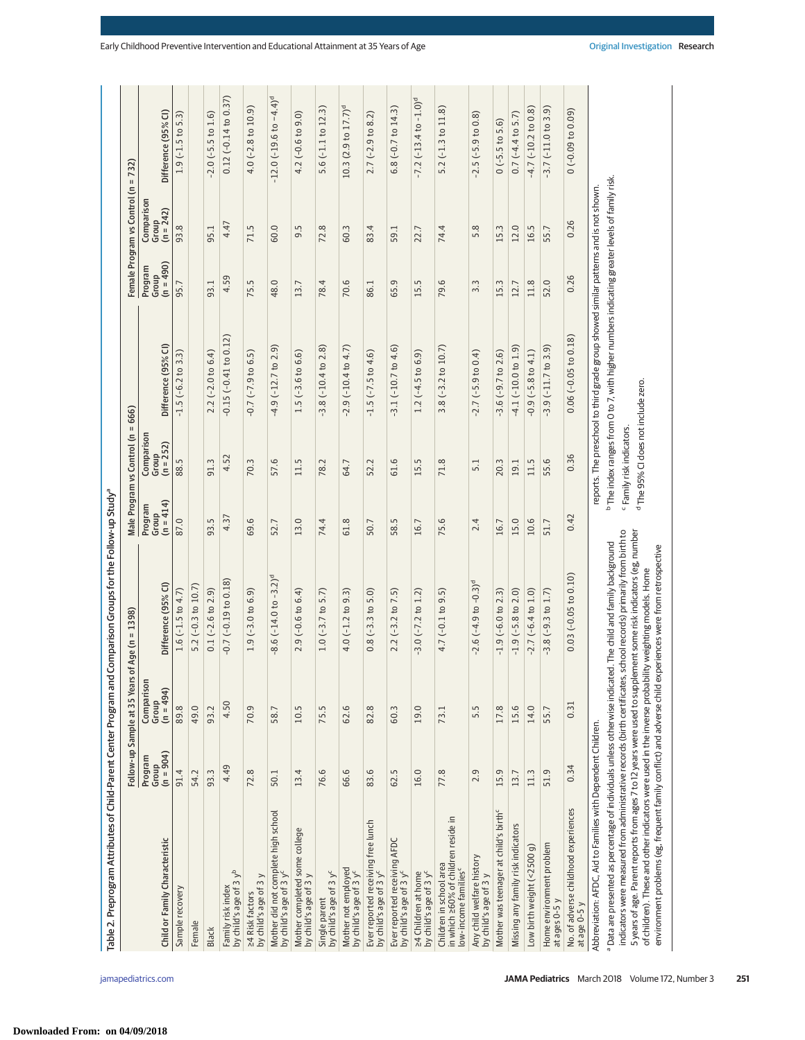| Table 2. Preprogram Attributes of Child-Parent Center Program and Comparison Groups for the Follow-up Study <sup>a</sup>                                                                                                                                                                                                                                                                                                                                                                                                                                                   |                               |                                    |                              |                                 |                                                                                        |                                                                                                          |                                 |                                  |                                            |
|----------------------------------------------------------------------------------------------------------------------------------------------------------------------------------------------------------------------------------------------------------------------------------------------------------------------------------------------------------------------------------------------------------------------------------------------------------------------------------------------------------------------------------------------------------------------------|-------------------------------|------------------------------------|------------------------------|---------------------------------|----------------------------------------------------------------------------------------|----------------------------------------------------------------------------------------------------------|---------------------------------|----------------------------------|--------------------------------------------|
|                                                                                                                                                                                                                                                                                                                                                                                                                                                                                                                                                                            | Follow-up                     | Sample at 35 Years                 | s of Age (n = 1398)          |                                 | Male Program vs Control (n =                                                           | 666)                                                                                                     |                                 | Female Program vs Control (n     | $= 732$                                    |
| Child or Family Characteristic                                                                                                                                                                                                                                                                                                                                                                                                                                                                                                                                             | Program<br>Group<br>(n = 904) | Comparison<br>Group<br>$(n = 494)$ | Difference (95% CI)          | $(n = 414)$<br>Program<br>Group | Comparison<br>Group<br>$(n = 252)$                                                     | Difference (95% CI)                                                                                      | $(n = 490)$<br>Program<br>Group | Comparison<br>Group<br>(n = 242) | Difference (95% CI)                        |
| Sample recovery                                                                                                                                                                                                                                                                                                                                                                                                                                                                                                                                                            | 91.4                          | 89.8                               | 1.6 $(-1.5$ to 4.7)          | 87.0                            | 88.5                                                                                   | $-1.5$ ( $-6.2$ to 3.3)                                                                                  | 95.7                            | 93.8                             | $1.9(-1.5)$ to $5.3$ )                     |
| Female                                                                                                                                                                                                                                                                                                                                                                                                                                                                                                                                                                     | 54.2                          | 49.0                               | $5.2(-0.3 to 10.7)$          |                                 |                                                                                        |                                                                                                          |                                 |                                  |                                            |
| <b>Black</b>                                                                                                                                                                                                                                                                                                                                                                                                                                                                                                                                                               | 93.3                          | 93.2                               | $0.1$ (-2.6 to 2.9)          | 93.5                            | 91.3                                                                                   | $2.2$ (-2.0 to 6.4)                                                                                      | 93.1                            | 95.1                             | $-2.0$ ( $-5.5$ to $1.6$ )                 |
| by child's age of 3 yb<br>Family risk index                                                                                                                                                                                                                                                                                                                                                                                                                                                                                                                                | 4.49                          | 4.50                               | $-0.7$ ( $-0.19$ to $0.18$ ) | 4.37                            | 4.52                                                                                   | $-0.15$ $(-0.41$ to $0.12)$                                                                              | 4.59                            | 4.47                             | $0.12 (-0.14 to 0.37)$                     |
| 24 Risk factors<br>by child's age of 3 y                                                                                                                                                                                                                                                                                                                                                                                                                                                                                                                                   | 72.8                          | 70.9                               | $1.9(-3.0 to 6.9)$           | 69.6                            | 70.3                                                                                   | $-0.7$ ( $-7.9$ to $6.5$ )                                                                               | 75.5                            | 71.5                             | $4.0(-2.8 to 10.9)$                        |
| Mother did not complete high school<br>by child's age of 3 y'                                                                                                                                                                                                                                                                                                                                                                                                                                                                                                              | 50.1                          | 58.7                               | $-8.6(-14.0 t - 3.2)^d$      | 52.7                            | 57.6                                                                                   | $-4.9$ $(-12.7$ to $2.9)$                                                                                | 48.0                            | 60.0                             | $-12.0$ ( $-19.6$ to $-4.4$ ) <sup>d</sup> |
| Mother completed some college<br>by child's age of 3 y                                                                                                                                                                                                                                                                                                                                                                                                                                                                                                                     | 13.4                          | 10.5                               | $2.9(-0.6 to 6.4)$           | 13.0                            | 11.5                                                                                   | $1.5(-3.6 t0 6.6)$                                                                                       | 13.7                            | 9.5                              | $4.2(-0.6 to 9.0)$                         |
| Single parent<br>by child's age of 3 y <sup>c</sup>                                                                                                                                                                                                                                                                                                                                                                                                                                                                                                                        | ِ<br>76.                      | rù<br>75.                          | $1.0(-3.7)$ to 5.7)          | 74.4                            | 78.2                                                                                   | $-3.8(-10.4 to 2.8)$                                                                                     | 78.4                            | 72.8                             | $5.6(-1.1 to 12.3)$                        |
| Mother not employed<br>by child's age of 3 y <sup>c</sup>                                                                                                                                                                                                                                                                                                                                                                                                                                                                                                                  | 66.6                          | 62.6                               | $4.0(-1.2 to 9.3)$           | 61.8                            | 64.7                                                                                   | $-2.9$ $(-10.4$ to $4.7)$                                                                                | 70.6                            | 60.3                             | 10.3(2.9 to 17.7) <sup>d</sup>             |
| Ever reported receiving free lunch<br>by child's age of 3 y <sup>c</sup>                                                                                                                                                                                                                                                                                                                                                                                                                                                                                                   | 83.6                          | 82.8                               | $0.8(-3.3 t 0.5.0)$          | 50.7                            | 52.2                                                                                   | $-1.5$ ( $-7.5$ to 4.6)                                                                                  | 86.1                            | 83.4                             | $2.7$ (-2.9 to 8.2)                        |
| Ever reported receiving AFDC<br>by child's age of 3 y <sup>c</sup>                                                                                                                                                                                                                                                                                                                                                                                                                                                                                                         | 62.5                          | 60.3                               | $2.2$ (-3.2 to 7.5)          | 58.5                            | 61.6                                                                                   | $-3.1(-10.7 to 4.6)$                                                                                     | 65.9                            | 59.1                             | $6.8$ ( $-0.7$ to 14.3)                    |
| $\geq$ 4 Children at home<br>by child's age of 3 $yc$                                                                                                                                                                                                                                                                                                                                                                                                                                                                                                                      | 16.0                          | 19.0                               | $-3.0(-7.2 \text{ to } 1.2)$ | 16.7                            | 15.5                                                                                   | $1.2$ (-4.5 to 6.9)                                                                                      | 15.5                            | 22.7                             | $-7.2$ ( $-13.4$ to $-1.0$ ) <sup>d</sup>  |
| in which ≥60% of children reside in<br>Children in school area<br>low-income families <sup>c</sup>                                                                                                                                                                                                                                                                                                                                                                                                                                                                         | 77.8                          | 73.1                               | $4.7(-0.1 to 9.5)$           | 75.6                            | 71.8                                                                                   | $3.8(-3.2 to 10.7)$                                                                                      | 79.6                            | 74.4                             | $5.2(-1.3 to 11.8)$                        |
| Any child welfare history<br>by child's age of 3 y                                                                                                                                                                                                                                                                                                                                                                                                                                                                                                                         | 2.9                           | 5.5                                | $-2.6(-4.9 to -0.3)d$        | 2.4                             | 5.1                                                                                    | $-2.7$ ( $-5.9$ to 0.4)                                                                                  | $3.\overline{3}$                | 5.8                              | $-2.5$ ( $-5.9$ to 0.8)                    |
| Mother was teenager at child's birth <sup>c</sup>                                                                                                                                                                                                                                                                                                                                                                                                                                                                                                                          | 15.9                          | 17.8                               | $-1.9$ ( $-6.0$ to 2.3)      | 16.7                            | 20.3                                                                                   | $-3.6(-9.7 to 2.6)$                                                                                      | 15.3                            | 15.3                             | $0(-5.5 t0 5.6)$                           |
| Missing any family risk indicators                                                                                                                                                                                                                                                                                                                                                                                                                                                                                                                                         | 13.7                          | 15.6                               | $-1.9$ ( $-5.8$ to 2.0)      | 15.0                            | 19.1                                                                                   | $-4.1$ $(-10.0 t 0 1.9)$                                                                                 | 12.7                            | 12.0                             | $0.7(-4.4 to 5.7)$                         |
| Low birth weight (<2500 g)                                                                                                                                                                                                                                                                                                                                                                                                                                                                                                                                                 | 11.3                          | 14.0                               | $-2.7$ ( $-6.4$ to 1.0)      | 10.6                            | 11.5                                                                                   | $-0.9$ ( $-5.8$ to $4.1$ )                                                                               | 11.8                            | 16.5                             | $-4.7$ ( $-10.2$ to $0.8$ )                |
| Home environment problem<br>at ages 0-5 y                                                                                                                                                                                                                                                                                                                                                                                                                                                                                                                                  | 51.9                          | 55.7                               | $-3.8(-9.3 to 1.7)$          | 51.7                            | 55.6                                                                                   | $-3.9(-11.7 t0 3.9)$                                                                                     | 52.0                            | 55.7                             | $-3.7(-11.0 to 3.9)$                       |
| No. of adverse childhood experiences<br>at age 0-5 y                                                                                                                                                                                                                                                                                                                                                                                                                                                                                                                       | 0.34                          | 0.31                               | $0.03$ ( $-0.05$ to $0.10$ ) | 0.42                            | 0.36                                                                                   | $0.06$ $(-0.05$ to $0.18)$                                                                               | 0.26                            | 0.26                             | $(60.0 - 0.09)$ to 0.09)                   |
| Abbreviation: AFDC, Aid to Families with Dependent Children.                                                                                                                                                                                                                                                                                                                                                                                                                                                                                                               |                               |                                    |                              |                                 |                                                                                        | reports. The preschool to third grade group showed similar patterns and is not shown.                    |                                 |                                  |                                            |
| indicators were measured from administrative records (birth certificates, school records) primarily from birth to<br>5 years of age. Parent reports from ages 7 to 12 years were used to supplement some risk indicators (eg, number<br>a Data are presented as percentage of individuals unless otherwise indicated. The child and family background<br>environment problems (eg, frequent family conflict) and adverse child experiences were from retrospective<br>of children). These and other indicators were used in the inverse probability weighting models. Home |                               |                                    |                              |                                 | <sup>d</sup> The 95% CI does not include zero.<br><sup>c</sup> Family risk indicators. | <sup>b</sup> The index ranges from 0 to 7, with higher numbers indicating greater levels of family risk. |                                 |                                  |                                            |

**Downloaded From: on 04/09/2018**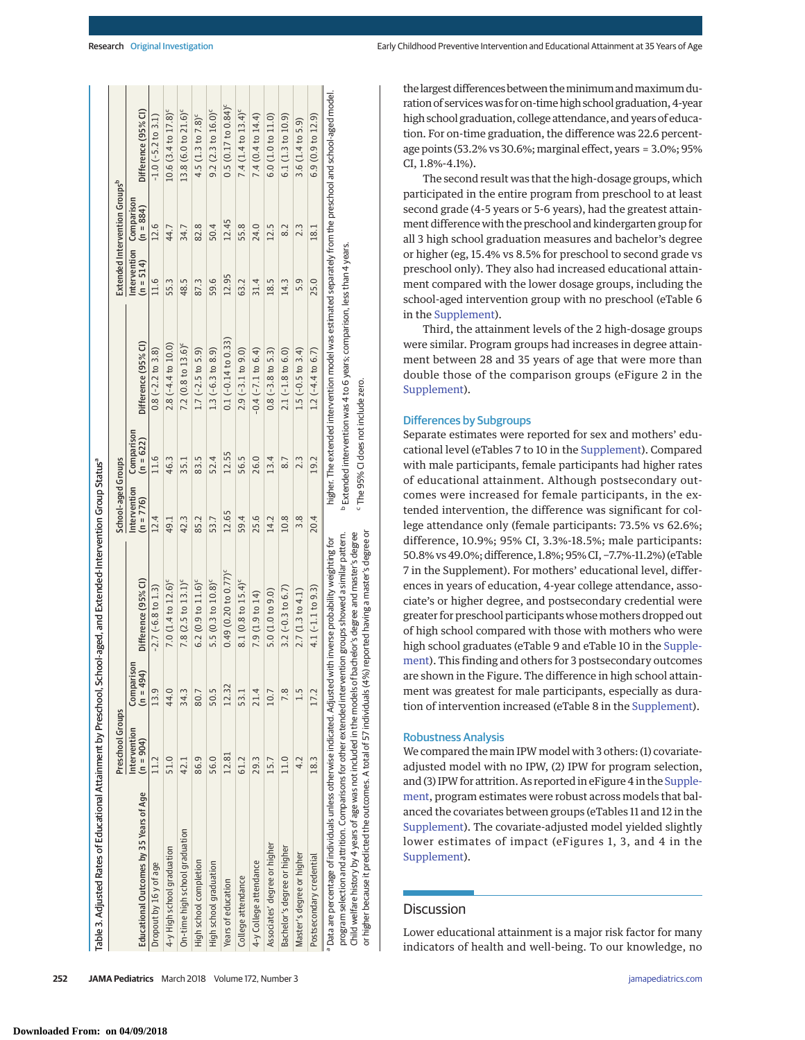| Table 3. Adjusted Rates of Educational Attainment by Preschool, School-aged, and Extended-Intervention Group Statusª                                                                                                                                                                                                                                                                                                                                                    |                             |                           |                                    |                             |                                    |                                                                                                                                                                                                   |             |                                        |                                      |
|-------------------------------------------------------------------------------------------------------------------------------------------------------------------------------------------------------------------------------------------------------------------------------------------------------------------------------------------------------------------------------------------------------------------------------------------------------------------------|-----------------------------|---------------------------|------------------------------------|-----------------------------|------------------------------------|---------------------------------------------------------------------------------------------------------------------------------------------------------------------------------------------------|-------------|----------------------------------------|--------------------------------------|
|                                                                                                                                                                                                                                                                                                                                                                                                                                                                         | Preschool Groups            |                           |                                    | School-aged Groups          |                                    |                                                                                                                                                                                                   |             | Extended Intervention Groupsb          |                                      |
| Educational Outcomes by 35 Years of Age                                                                                                                                                                                                                                                                                                                                                                                                                                 | Intervention<br>$(n = 904)$ | Comparison<br>$(n = 494)$ | Difference (95% CI)                | Intervention<br>$(n = 776)$ | Comparison<br>$(n = 622)$          | Difference (95% CI)                                                                                                                                                                               | $(n = 514)$ | Intervention Comparison<br>$(n = 884)$ | Difference (95% CI)                  |
| Dropout by 16 y of age                                                                                                                                                                                                                                                                                                                                                                                                                                                  |                             | 13.9                      | $-2.7$ ( $-6.8$ to $1.3$ )         | 12.4                        | 11.6                               | $0.8 (-2.2 to 3.8)$                                                                                                                                                                               | 11.6        | 12.6                                   | $-1.0$ ( $-5.2$ to 3.1)              |
| 4-y High school graduation                                                                                                                                                                                                                                                                                                                                                                                                                                              | 51.0                        | 44.0                      | 7.0 $(1.4 t0 12.6)^c$              | 49.1                        | 46.3                               | $2.8(-4.4 to 10.0)$                                                                                                                                                                               | 55.3        | 44.7                                   | $10.6$ (3.4 to $17.8$ ) <sup>c</sup> |
| On-time high school graduation                                                                                                                                                                                                                                                                                                                                                                                                                                          | 42.1                        | 34.3                      | 7.8 $(2.5 to 13.1)^c$              | 42.3                        | 35.1                               | 7.2 $(0.8 \text{ to } 13.6)^c$                                                                                                                                                                    | 48.5        | 34.7                                   | $13.8$ (6.0 to $21.6$ ) <sup>c</sup> |
| High school completion                                                                                                                                                                                                                                                                                                                                                                                                                                                  | 86.9                        | 80.7                      | $6.2(0.9 to 11.6)^c$               | 85.2                        | 83.5                               | $1.7$ (-2.5 to 5.9)                                                                                                                                                                               | 87.3        | 82.8                                   | 4.5 (1.3 to $7.8$ ) <sup>c</sup>     |
| High school graduation                                                                                                                                                                                                                                                                                                                                                                                                                                                  | 56.0                        | 50.5                      | 5.5 (0.3 to 10.8) <sup>c</sup>     | 53.7                        | 52.4                               | $1.3(-6.3 to 8.9)$                                                                                                                                                                                | 59.6        | 50.4                                   | $9.2(2.3 to 16.0)^c$                 |
| Years of education                                                                                                                                                                                                                                                                                                                                                                                                                                                      | 12.81                       | 12.32                     | $0.49$ (0.20 to 0.77) <sup>c</sup> | 12.65                       | 12.55                              | $0.1 (-0.14 to 0.33)$                                                                                                                                                                             | 12.95       | 12.45                                  | $0.5(0.17 to 0.84)$ <sup>c</sup>     |
| College attendance                                                                                                                                                                                                                                                                                                                                                                                                                                                      | 61.2                        | 53.1                      | 8.1 (0.8 to $15.4$ ) <sup>c</sup>  | 59.4                        | 56.5                               | $2.9(-3.1 to 9.0)$                                                                                                                                                                                | 63.2        | 55.8                                   | 7.4 (1.4 to $13.4$ ) <sup>c</sup>    |
| 4-y College attendance                                                                                                                                                                                                                                                                                                                                                                                                                                                  | 29.3                        | 21.4                      | 7.9 (1.9 to 14)                    | 25.6                        | 26.0                               | $-0.4$ ( $-7.1$ to $6.4$ )                                                                                                                                                                        | 31.4        | 24.0                                   | 7.4 (0.4 to 14.4)                    |
| Associates' degree or higher                                                                                                                                                                                                                                                                                                                                                                                                                                            | 15.7                        | 10.7                      | 5.0 (1.0 to 9.0)                   | 14.2                        | 13.4                               | $0.8(-3.8 to 5.3)$                                                                                                                                                                                | 18.5        | 12.5                                   | 6.0(1.0 to 11.0)                     |
| Bachelor's degree or higher                                                                                                                                                                                                                                                                                                                                                                                                                                             | 11.0                        | 7.8                       | $3.2 (-0.3 to 6.7)$                | 10.8                        | 8.7                                | $2.1(-1.8 to 6.0)$                                                                                                                                                                                | 14.3        | 8.2                                    | 6.1(1.3 to 10.9)                     |
| Master's degree or higher                                                                                                                                                                                                                                                                                                                                                                                                                                               | 4.2                         | 1.5                       | 2.7(1.3 to 4.1)                    | 3.8                         | 2.3                                | $1.5(-0.5 to 3.4)$                                                                                                                                                                                | 5.9         | 2.3                                    | $3.6(1.4 \text{ to } 5.9)$           |
| Postsecondary credential                                                                                                                                                                                                                                                                                                                                                                                                                                                | 18.3                        | 17.2                      | $4.1(-1.1 to 9.3)$                 | 20.4                        | 19.2                               | $1.2(-4.4 to 6.7)$                                                                                                                                                                                | 25.0        | 18.1                                   | 6.9(0.9 to 12.9)                     |
| or higher because it predicted the outcomes. A total of 57 individuals (4%) reported having a master's degree o<br>Child welfare history by 4 years of age was not included in the models of bachelor's degree and master's degree<br>program selection and attrition. Comparisons for other extended intervention groups showed a similar pattern.<br>a Data are percentage of individuals unless otherwise indicated. Adjusted with inverse probability weighting for |                             |                           |                                    |                             | Fine 95% CI does not include zero. | higher. The extended intervention model was estimated separately from the preschool and school-aged model.<br><sup>b</sup> Extended intervention was 4 to 6 years; comparison, less than 4 years. |             |                                        |                                      |

the largest differences between the minimum and maximum duration of serviceswas for on-time high school graduation, 4-year high school graduation, college attendance, and years of education. For on-time graduation, the difference was 22.6 percentage points (53.2% vs 30.6%; marginal effect, years =  $3.0\%$ ; 95% CI, 1.8%-4.1%).

The second result was that the high-dosage groups, which participated in the entire program from preschool to at least second grade (4-5 years or 5-6 years), had the greatest attainment difference with the preschool and kindergarten group for all 3 high school graduation measures and bachelor's degree or higher (eg, 15.4% vs 8.5% for preschool to second grade vs preschool only). They also had increased educational attainment compared with the lower dosage groups, including the school-aged intervention group with no preschool (eTable 6 in the [Supplement\)](http://jama.jamanetwork.com/article.aspx?doi=10.1001/jamapediatrics.2017.4673&utm_campaign=articlePDF%26utm_medium=articlePDFlink%26utm_source=articlePDF%26utm_content=jamapediatrics.2017.4673).

Third, the attainment levels of the 2 high-dosage groups were similar. Program groups had increases in degree attainment between 28 and 35 years of age that were more than double those of the comparison groups (eFigure 2 in the [Supplement\)](http://jama.jamanetwork.com/article.aspx?doi=10.1001/jamapediatrics.2017.4673&utm_campaign=articlePDF%26utm_medium=articlePDFlink%26utm_source=articlePDF%26utm_content=jamapediatrics.2017.4673).

# Differences by Subgroups

Separate estimates were reported for sex and mothers' educational level (eTables 7 to 10 in the [Supplement\)](http://jama.jamanetwork.com/article.aspx?doi=10.1001/jamapediatrics.2017.4673&utm_campaign=articlePDF%26utm_medium=articlePDFlink%26utm_source=articlePDF%26utm_content=jamapediatrics.2017.4673). Compared with male participants, female participants had higher rates of educational attainment. Although postsecondary outcomes were increased for female participants, in the extended intervention, the difference was significant for college attendance only (female participants: 73.5% vs 62.6%; difference, 10.9%; 95% CI, 3.3%-18.5%; male participants: 50.8% vs 49.0%; difference, 1.8%; 95% CI, −7.7%-11.2%) (eTable 7 in the Supplement). For mothers' educational level, differences in years of education, 4-year college attendance, associate's or higher degree, and postsecondary credential were greater for preschool participants whose mothers dropped out of high school compared with those with mothers who were high school graduates (eTable 9 and eTable 10 in the [Supple](http://jama.jamanetwork.com/article.aspx?doi=10.1001/jamapediatrics.2017.4673&utm_campaign=articlePDF%26utm_medium=articlePDFlink%26utm_source=articlePDF%26utm_content=jamapediatrics.2017.4673)[ment\)](http://jama.jamanetwork.com/article.aspx?doi=10.1001/jamapediatrics.2017.4673&utm_campaign=articlePDF%26utm_medium=articlePDFlink%26utm_source=articlePDF%26utm_content=jamapediatrics.2017.4673). This finding and others for 3 postsecondary outcomes are shown in the Figure. The difference in high school attainment was greatest for male participants, especially as duration of intervention increased (eTable 8 in the [Supplement\)](http://jama.jamanetwork.com/article.aspx?doi=10.1001/jamapediatrics.2017.4673&utm_campaign=articlePDF%26utm_medium=articlePDFlink%26utm_source=articlePDF%26utm_content=jamapediatrics.2017.4673).

### Robustness Analysis

We compared the main IPW model with 3 others: (1) covariateadjusted model with no IPW, (2) IPW for program selection, and (3) IPW for attrition. As reported in eFigure 4 in the [Supple](http://jama.jamanetwork.com/article.aspx?doi=10.1001/jamapediatrics.2017.4673&utm_campaign=articlePDF%26utm_medium=articlePDFlink%26utm_source=articlePDF%26utm_content=jamapediatrics.2017.4673)[ment,](http://jama.jamanetwork.com/article.aspx?doi=10.1001/jamapediatrics.2017.4673&utm_campaign=articlePDF%26utm_medium=articlePDFlink%26utm_source=articlePDF%26utm_content=jamapediatrics.2017.4673) program estimates were robust across models that balanced the covariates between groups (eTables 11 and 12 in the [Supplement\)](http://jama.jamanetwork.com/article.aspx?doi=10.1001/jamapediatrics.2017.4673&utm_campaign=articlePDF%26utm_medium=articlePDFlink%26utm_source=articlePDF%26utm_content=jamapediatrics.2017.4673). The covariate-adjusted model yielded slightly lower estimates of impact (eFigures 1, 3, and 4 in the [Supplement\)](http://jama.jamanetwork.com/article.aspx?doi=10.1001/jamapediatrics.2017.4673&utm_campaign=articlePDF%26utm_medium=articlePDFlink%26utm_source=articlePDF%26utm_content=jamapediatrics.2017.4673).

# **Discussion**

Lower educational attainment is a major risk factor for many indicators of health and well-being. To our knowledge, no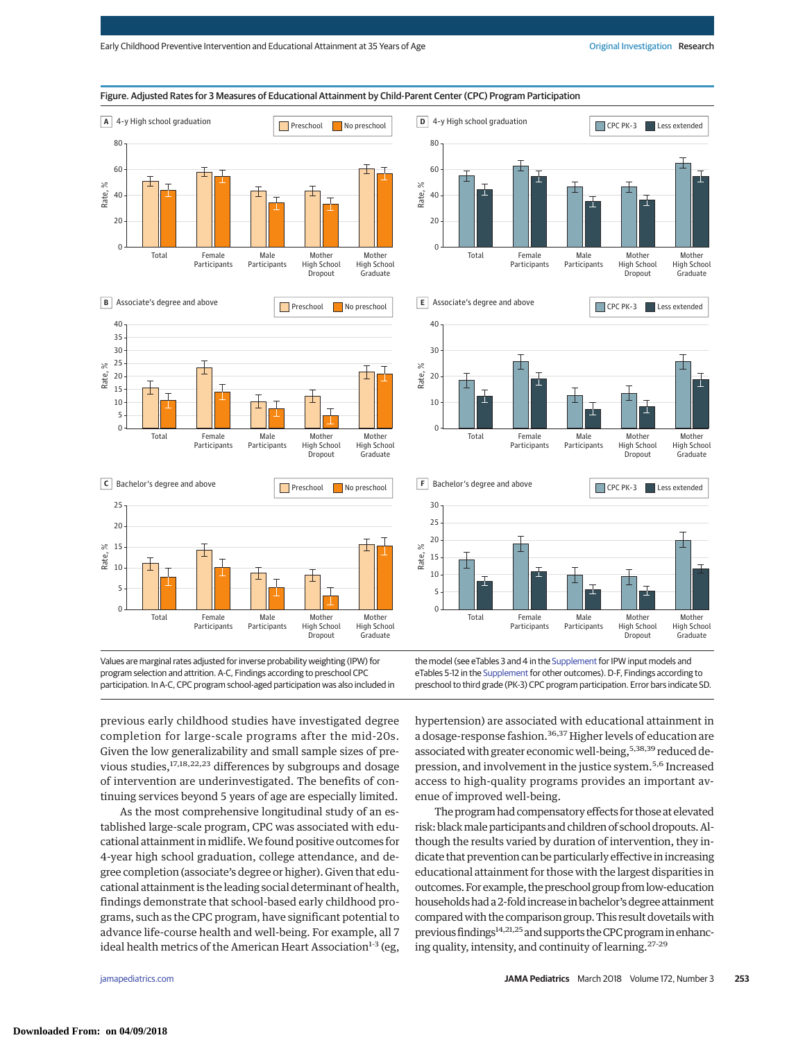

program selection and attrition. A-C, Findings according to preschool CPC participation. In A-C, CPC program school-aged participation was also included in eTables 5-12 in the [Supplement](http://jama.jamanetwork.com/article.aspx?doi=10.1001/jamapediatrics.2017.4673&utm_campaign=articlePDF%26utm_medium=articlePDFlink%26utm_source=articlePDF%26utm_content=jamapediatrics.2017.4673) for other outcomes). D-F, Findings according to preschool to third grade (PK-3) CPC program participation. Error bars indicate SD.

previous early childhood studies have investigated degree completion for large-scale programs after the mid-20s. Given the low generalizability and small sample sizes of previous studies,<sup>17,18,22,23</sup> differences by subgroups and dosage of intervention are underinvestigated. The benefits of continuing services beyond 5 years of age are especially limited.

As the most comprehensive longitudinal study of an established large-scale program, CPC was associated with educational attainment inmidlife.We found positive outcomes for 4-year high school graduation, college attendance, and degree completion (associate's degree or higher). Given that educational attainment is the leading social determinant of health, findings demonstrate that school-based early childhood programs, such as the CPC program, have significant potential to advance life-course health and well-being. For example, all 7 ideal health metrics of the American Heart Association $1-3$  (eg,

hypertension) are associated with educational attainment in a dosage-response fashion.<sup>36,37</sup> Higher levels of education are associated with greater economic well-being,<sup>5,38,39</sup> reduced depression, and involvement in the justice system.5,6 Increased access to high-quality programs provides an important avenue of improved well-being.

The program had compensatory effects for those at elevated risk: black male participants and children of school dropouts. Although the results varied by duration of intervention, they indicate that prevention can be particularly effective in increasing educational attainment for those with the largest disparities in outcomes. For example, the preschool group from low-education households had a 2-fold increase in bachelor's degree attainment comparedwith the comparison group. This result dovetailswith previous findings<sup>14,21,25</sup> and supports the CPC program in enhancing quality, intensity, and continuity of learning.<sup>27-29</sup>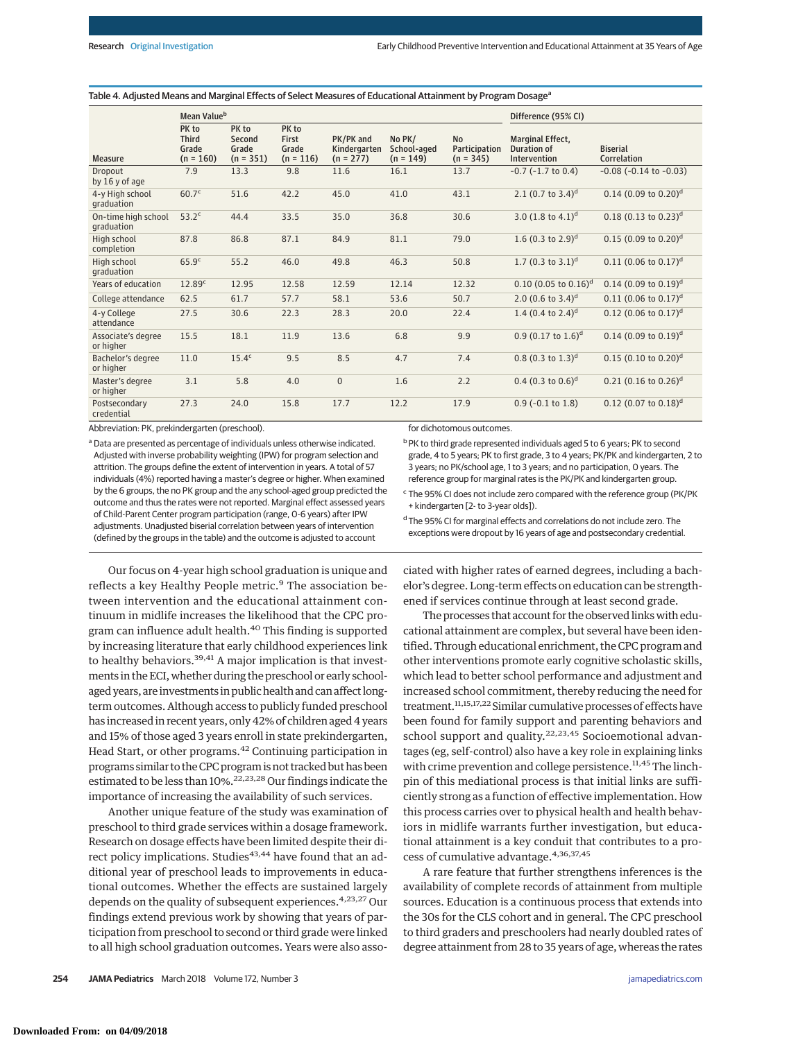#### Table 4. Adjusted Means and Marginal Effects of Select Measures of Educational Attainment by Program Dosage<sup>a</sup>

|                                   | Mean Value <sup>b</sup>                       |                                         |                                        |                                          |                                      |                                           | Difference (95% CI)                             |                                       |
|-----------------------------------|-----------------------------------------------|-----------------------------------------|----------------------------------------|------------------------------------------|--------------------------------------|-------------------------------------------|-------------------------------------------------|---------------------------------------|
| <b>Measure</b>                    | PK to<br><b>Third</b><br>Grade<br>$(n = 160)$ | PK to<br>Second<br>Grade<br>$(n = 351)$ | PK to<br>First<br>Grade<br>$(n = 116)$ | PK/PK and<br>Kindergarten<br>$(n = 277)$ | No PK/<br>School-aged<br>$(n = 149)$ | <b>No</b><br>Participation<br>$(n = 345)$ | Marginal Effect,<br>Duration of<br>Intervention | <b>Biserial</b><br>Correlation        |
| Dropout<br>by 16 y of age         | 7.9                                           | 13.3                                    | 9.8                                    | 11.6                                     | 16.1                                 | 13.7                                      | $-0.7$ ( $-1.7$ to 0.4)                         | $-0.08$ ( $-0.14$ to $-0.03$ )        |
| 4-y High school<br>qraduation     | 60.7 <sup>c</sup>                             | 51.6                                    | 42.2                                   | 45.0                                     | 41.0                                 | 43.1                                      | 2.1 (0.7 to $3.4$ ) <sup>d</sup>                | $0.14$ (0.09 to 0.20) <sup>d</sup>    |
| On-time high school<br>qraduation | 53.2 <sup>c</sup>                             | 44.4                                    | 33.5                                   | 35.0                                     | 36.8                                 | 30.6                                      | 3.0 $(1.8 \text{ to } 4.1)^d$                   | $0.18$ (0.13 to 0.23) <sup>d</sup>    |
| High school<br>completion         | 87.8                                          | 86.8                                    | 87.1                                   | 84.9                                     | 81.1                                 | 79.0                                      | 1.6 $(0.3 \text{ to } 2.9)^d$                   | $0.15$ (0.09 to 0.20) <sup>d</sup>    |
| High school<br>graduation         | 65.9 <sup>c</sup>                             | 55.2                                    | 46.0                                   | 49.8                                     | 46.3                                 | 50.8                                      | 1.7 (0.3 to $3.1$ ) <sup>d</sup>                | $0.11$ (0.06 to 0.17) <sup>d</sup>    |
| Years of education                | 12.89 <sup>c</sup>                            | 12.95                                   | 12.58                                  | 12.59                                    | 12.14                                | 12.32                                     | $0.10$ (0.05 to $0.16$ ) <sup>d</sup>           | $0.14$ (0.09 to 0.19) <sup>d</sup>    |
| College attendance                | 62.5                                          | 61.7                                    | 57.7                                   | 58.1                                     | 53.6                                 | 50.7                                      | 2.0 $(0.6 \text{ to } 3.4)^d$                   | $0.11$ (0.06 to 0.17) <sup>d</sup>    |
| 4-y College<br>attendance         | 27.5                                          | 30.6                                    | 22.3                                   | 28.3                                     | 20.0                                 | 22.4                                      | 1.4 $(0.4 \text{ to } 2.4)^d$                   | $0.12$ (0.06 to $0.17$ ) <sup>d</sup> |
| Associate's degree<br>or higher   | 15.5                                          | 18.1                                    | 11.9                                   | 13.6                                     | 6.8                                  | 9.9                                       | 0.9 (0.17 to $1.6$ ) <sup>d</sup>               | $0.14$ (0.09 to 0.19) <sup>d</sup>    |
| Bachelor's degree<br>or higher    | 11.0                                          | 15.4 <sup>c</sup>                       | 9.5                                    | 8.5                                      | 4.7                                  | 7.4                                       | $0.8$ (0.3 to 1.3) <sup>d</sup>                 | $0.15$ (0.10 to 0.20) <sup>d</sup>    |
| Master's degree<br>or higher      | 3.1                                           | 5.8                                     | 4.0                                    | $\overline{0}$                           | 1.6                                  | 2.2                                       | $0.4$ (0.3 to $0.6$ ) <sup>d</sup>              | $0.21$ (0.16 to 0.26) <sup>d</sup>    |
| Postsecondary<br>credential       | 27.3                                          | 24.0                                    | 15.8                                   | 17.7                                     | 12.2                                 | 17.9                                      | $0.9$ (-0.1 to 1.8)                             | $0.12$ (0.07 to $0.18$ ) <sup>d</sup> |

Abbreviation: PK, prekindergarten (preschool).

<sup>a</sup> Data are presented as percentage of individuals unless otherwise indicated. Adjusted with inverse probability weighting (IPW) for program selection and attrition. The groups define the extent of intervention in years. A total of 57 individuals (4%) reported having a master's degree or higher. When examined by the 6 groups, the no PK group and the any school-aged group predicted the outcome and thus the rates were not reported. Marginal effect assessed years of Child-Parent Center program participation (range, 0-6 years) after IPW adjustments. Unadjusted biserial correlation between years of intervention (defined by the groups in the table) and the outcome is adjusted to account

for dichotomous outcomes.

b PK to third grade represented individuals aged 5 to 6 years; PK to second grade, 4 to 5 years; PK to first grade, 3 to 4 years; PK/PK and kindergarten, 2 to 3 years; no PK/school age, 1 to 3 years; and no participation, 0 years. The reference group for marginal rates is the PK/PK and kindergarten group.

<sup>c</sup> The 95% CI does not include zero compared with the reference group (PK/PK + kindergarten [2- to 3-year olds]).

<sup>d</sup> The 95% CI for marginal effects and correlations do not include zero. The exceptions were dropout by 16 years of age and postsecondary credential.

Our focus on 4-year high school graduation is unique and reflects a key Healthy People metric.<sup>9</sup> The association between intervention and the educational attainment continuum in midlife increases the likelihood that the CPC program can influence adult health.<sup>40</sup> This finding is supported by increasing literature that early childhood experiences link to healthy behaviors. $39,41$  A major implication is that investments in the ECI, whether during the preschool or early schoolaged years, are investments in public health and can affect longterm outcomes. Although access to publicly funded preschool has increased in recent years, only 42% of children aged 4 years and 15% of those aged 3 years enroll in state prekindergarten, Head Start, or other programs.<sup>42</sup> Continuing participation in programs similar to the CPC program is not tracked but has been estimated to be less than 10%.<sup>22,23,28</sup> Our findings indicate the importance of increasing the availability of such services.

Another unique feature of the study was examination of preschool to third grade services within a dosage framework. Research on dosage effects have been limited despite their direct policy implications. Studies<sup>43,44</sup> have found that an additional year of preschool leads to improvements in educational outcomes. Whether the effects are sustained largely depends on the quality of subsequent experiences.<sup>4,23,27</sup> Our findings extend previous work by showing that years of participation from preschool to second or third grade were linked to all high school graduation outcomes. Years were also associated with higher rates of earned degrees, including a bachelor's degree. Long-term effects on education can be strengthened if services continue through at least second grade.

The processes that account for the observed links with educational attainment are complex, but several have been identified. Through educational enrichment, the CPC program and other interventions promote early cognitive scholastic skills, which lead to better school performance and adjustment and increased school commitment, thereby reducing the need for treatment.11,15,17,22 Similar cumulative processes of effects have been found for family support and parenting behaviors and school support and quality.<sup>22,23,45</sup> Socioemotional advantages (eg, self-control) also have a key role in explaining links with crime prevention and college persistence.<sup>11,45</sup>The linchpin of this mediational process is that initial links are sufficiently strong as a function of effective implementation. How this process carries over to physical health and health behaviors in midlife warrants further investigation, but educational attainment is a key conduit that contributes to a process of cumulative advantage.<sup>4,36,37,45</sup>

A rare feature that further strengthens inferences is the availability of complete records of attainment from multiple sources. Education is a continuous process that extends into the 30s for the CLS cohort and in general. The CPC preschool to third graders and preschoolers had nearly doubled rates of degree attainment from 28 to 35 years of age, whereas the rates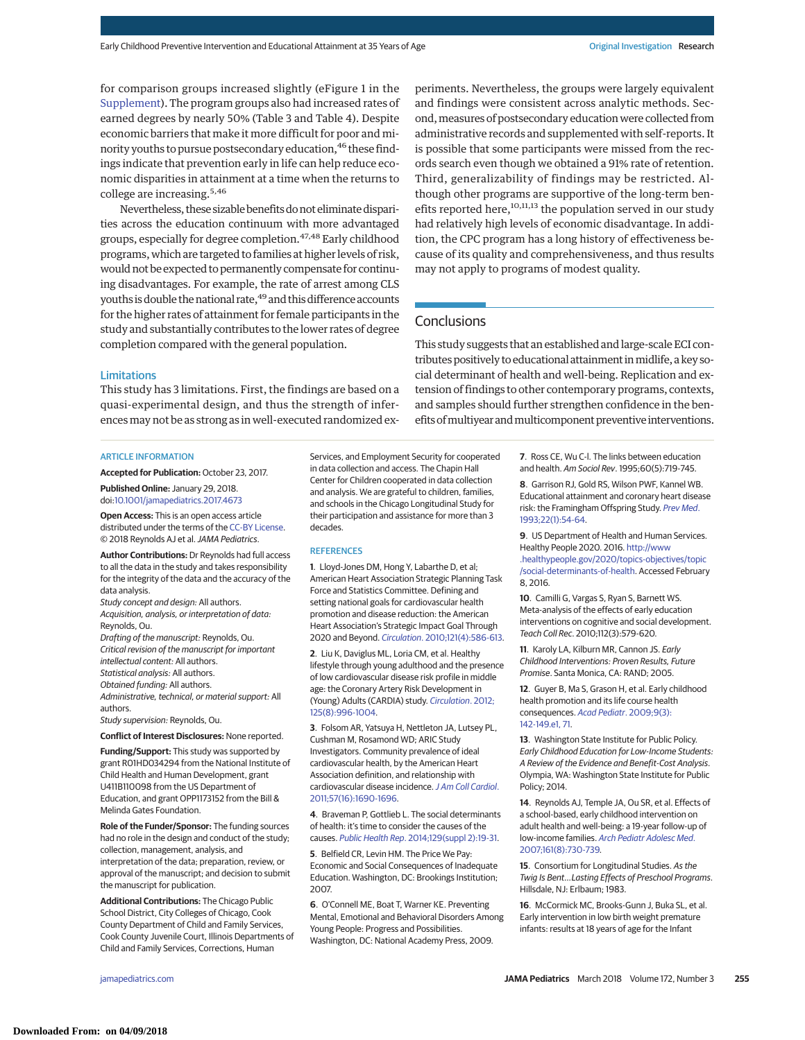for comparison groups increased slightly (eFigure 1 in the [Supplement\)](http://jama.jamanetwork.com/article.aspx?doi=10.1001/jamapediatrics.2017.4673&utm_campaign=articlePDF%26utm_medium=articlePDFlink%26utm_source=articlePDF%26utm_content=jamapediatrics.2017.4673). The program groups also had increased rates of earned degrees by nearly 50% (Table 3 and Table 4). Despite economic barriers that make it more difficult for poor and minority youths to pursue postsecondary education,<sup>46</sup> these findings indicate that prevention early in life can help reduce economic disparities in attainment at a time when the returns to college are increasing.5,46

Nevertheless, these sizable benefits do not eliminate disparities across the education continuum with more advantaged groups, especially for degree completion.47,48 Early childhood programs, which are targeted to families at higher levels of risk, would not be expected to permanently compensate for continuing disadvantages. For example, the rate of arrest among CLS youths is double the national rate,<sup>49</sup> and this difference accounts for the higher rates of attainment for female participants in the study and substantially contributes to the lower rates of degree completion compared with the general population.

Limitations

This study has 3 limitations. First, the findings are based on a quasi-experimental design, and thus the strength of inferencesmay not be as strong as in well-executed randomized ex-

#### ARTICLE INFORMATION

**Accepted for Publication:** October 23, 2017.

**Published Online:** January 29, 2018. doi[:10.1001/jamapediatrics.2017.4673](http://jama.jamanetwork.com/article.aspx?doi=10.1001/jamapediatrics.2017.4673&utm_campaign=articlePDF%26utm_medium=articlePDFlink%26utm_source=articlePDF%26utm_content=jamapediatrics.2017.4673)

**Open Access:** This is an open access article distributed under the terms of the [CC-BY License.](http://jamanetwork.com/journals/jamapediatrics/pages/instructions-for-authors#SecOpenAccess/?utm_campaign=articlePDF%26utm_medium=articlePDFlink%26utm_source=articlePDF%26utm_content=jamapediatrics.2017.4673) © 2018 Reynolds AJ et al.JAMA Pediatrics.

**Author Contributions:** Dr Reynolds had full access to all the data in the study and takes responsibility for the integrity of the data and the accuracy of the data analysis.

Study concept and design: All authors. Acquisition, analysis, or interpretation of data: Reynolds, Ou.

Drafting of the manuscript: Reynolds, Ou. Critical revision of the manuscript for important intellectual content: All authors.

Statistical analysis: All authors.

Obtained funding: All authors.

Administrative, technical, or material support: All authors.

Study supervision: Reynolds, Ou.

**Conflict of Interest Disclosures:** None reported.

**Funding/Support:** This study was supported by grant R01HD034294 from the National Institute of Child Health and Human Development, grant U411B110098 from the US Department of Education, and grant OPP1173152 from the Bill & Melinda Gates Foundation.

**Role of the Funder/Sponsor:** The funding sources had no role in the design and conduct of the study; collection, management, analysis, and interpretation of the data; preparation, review, or approval of the manuscript; and decision to submit the manuscript for publication.

**Additional Contributions:** The Chicago Public School District, City Colleges of Chicago, Cook County Department of Child and Family Services, Cook County Juvenile Court, Illinois Departments of Child and Family Services, Corrections, Human

Services, and Employment Security for cooperated in data collection and access. The Chapin Hall Center for Children cooperated in data collection and analysis. We are grateful to children, families, and schools in the Chicago Longitudinal Study for their participation and assistance for more than 3 decades.

#### **REFERENCES**

**1**. Lloyd-Jones DM, Hong Y, Labarthe D, et al; American Heart Association Strategic Planning Task Force and Statistics Committee. Defining and setting national goals for cardiovascular health promotion and disease reduction: the American Heart Association's Strategic Impact Goal Through 2020 and Beyond. Circulation[. 2010;121\(4\):586-613.](https://www.ncbi.nlm.nih.gov/pubmed/20089546)

**2**. Liu K, Daviglus ML, Loria CM, et al. Healthy lifestyle through young adulthood and the presence of low cardiovascular disease risk profile in middle age: the Coronary Artery Risk Development in (Young) Adults (CARDIA) study. [Circulation](https://www.ncbi.nlm.nih.gov/pubmed/22291127). 2012; [125\(8\):996-1004.](https://www.ncbi.nlm.nih.gov/pubmed/22291127)

**3**. Folsom AR, Yatsuya H, Nettleton JA, Lutsey PL, Cushman M, Rosamond WD; ARIC Study Investigators. Community prevalence of ideal cardiovascular health, by the American Heart Association definition, and relationship with cardiovascular disease incidence. [J Am Coll Cardiol](https://www.ncbi.nlm.nih.gov/pubmed/21492767). [2011;57\(16\):1690-1696.](https://www.ncbi.nlm.nih.gov/pubmed/21492767)

**4**. Braveman P, Gottlieb L. The social determinants of health: it's time to consider the causes of the causes. Public Health Rep[. 2014;129\(suppl 2\):19-31.](https://www.ncbi.nlm.nih.gov/pubmed/24385661)

**5**. Belfield CR, Levin HM. The Price We Pay: Economic and Social Consequences of Inadequate Education. Washington, DC: Brookings Institution; 2007.

**6**. O'Connell ME, Boat T, Warner KE. Preventing Mental, Emotional and Behavioral Disorders Among Young People: Progress and Possibilities. Washington, DC: National Academy Press, 2009.

periments. Nevertheless, the groups were largely equivalent and findings were consistent across analytic methods. Second, measures of postsecondary education were collected from administrative records and supplemented with self-reports. It is possible that some participants were missed from the records search even though we obtained a 91% rate of retention. Third, generalizability of findings may be restricted. Although other programs are supportive of the long-term benefits reported here,<sup>10,11,13</sup> the population served in our study had relatively high levels of economic disadvantage. In addition, the CPC program has a long history of effectiveness because of its quality and comprehensiveness, and thus results may not apply to programs of modest quality.

# **Conclusions**

This study suggests that an established and large-scale ECI contributes positively to educational attainment in midlife, a key social determinant of health and well-being. Replication and extension of findings to other contemporary programs, contexts, and samples should further strengthen confidence in the benefits of multiyear and multicomponent preventive interventions.

> **7**. Ross CE, Wu C-l. The links between education and health. Am Sociol Rev. 1995;60(5):719-745.

**8**. Garrison RJ, Gold RS, Wilson PWF, Kannel WB. Educational attainment and coronary heart disease risk: the Framingham Offspring Study. [Prev Med](https://www.ncbi.nlm.nih.gov/pubmed/8475012). [1993;22\(1\):54-64.](https://www.ncbi.nlm.nih.gov/pubmed/8475012)

**9**. US Department of Health and Human Services. Healthy People 2020. 2016. [http://www](http://www.healthypeople.gov/2020/topics-objectives/topic/social-determinants-of-health) [.healthypeople.gov/2020/topics-objectives/topic](http://www.healthypeople.gov/2020/topics-objectives/topic/social-determinants-of-health) [/social-determinants-of-health.](http://www.healthypeople.gov/2020/topics-objectives/topic/social-determinants-of-health) Accessed February 8, 2016.

**10**. Camilli G, Vargas S, Ryan S, Barnett WS. Meta-analysis of the effects of early education interventions on cognitive and social development. Teach Coll Rec. 2010;112(3):579-620.

**11**. Karoly LA, Kilburn MR, Cannon JS. Early Childhood Interventions: Proven Results, Future Promise. Santa Monica, CA: RAND; 2005.

**12**. Guyer B, Ma S, Grason H, et al. Early childhood health promotion and its life course health consequences. [Acad Pediatr](https://www.ncbi.nlm.nih.gov/pubmed/19450773). 2009;9(3): [142-149.e1, 71.](https://www.ncbi.nlm.nih.gov/pubmed/19450773)

**13**. Washington State Institute for Public Policy. Early Childhood Education for Low-Income Students: A Review of the Evidence and Benefit-Cost Analysis. Olympia, WA: Washington State Institute for Public Policy; 2014.

**14**. Reynolds AJ, Temple JA, Ou SR, et al. Effects of a school-based, early childhood intervention on adult health and well-being: a 19-year follow-up of low-income families. [Arch Pediatr Adolesc Med](https://www.ncbi.nlm.nih.gov/pubmed/17679653). [2007;161\(8\):730-739.](https://www.ncbi.nlm.nih.gov/pubmed/17679653)

**15**. Consortium for Longitudinal Studies. As the Twig Is Bent...Lasting Effects of Preschool Programs. Hillsdale, NJ: Erlbaum; 1983.

**16**. McCormick MC, Brooks-Gunn J, Buka SL, et al. Early intervention in low birth weight premature infants: results at 18 years of age for the Infant